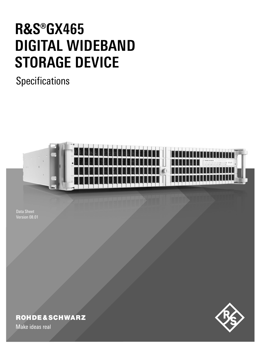# **R&S®GX465 DIGITAL WIDEBAND STORAGE DEVICE**

**Specifications** 



Data Sheet Version 08.01



# **ROHDE&SCHWARZ**

Make ideas real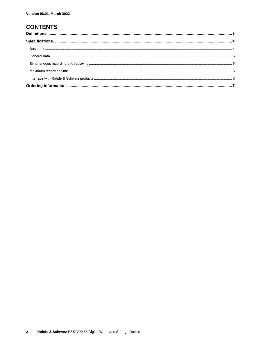## **CONTENTS**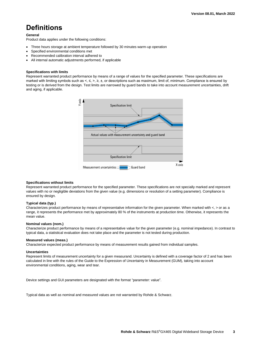## <span id="page-2-0"></span>**Definitions**

### **General**

Product data applies under the following conditions:

- Three hours storage at ambient temperature followed by 30 minutes warm-up operation
- Specified environmental conditions met
- Recommended calibration interval adhered to
- All internal automatic adjustments performed, if applicable

#### **Specifications with limits**

Represent warranted product performance by means of a range of values for the specified parameter. These specifications are marked with limiting symbols such as <, ≤, >, ≥, ±, or descriptions such as maximum, limit of, minimum. Compliance is ensured by testing or is derived from the design. Test limits are narrowed by guard bands to take into account measurement uncertainties, drift and aging, if applicable.



#### **Specifications without limits**

Represent warranted product performance for the specified parameter. These specifications are not specially marked and represent values with no or negligible deviations from the given value (e.g. dimensions or resolution of a setting parameter). Compliance is ensured by design.

#### **Typical data (typ.)**

Characterizes product performance by means of representative information for the given parameter. When marked with  $\lt$ ,  $>$  or as a range, it represents the performance met by approximately 80 % of the instruments at production time. Otherwise, it represents the mean value.

#### **Nominal values (nom.)**

Characterize product performance by means of a representative value for the given parameter (e.g. nominal impedance). In contrast to typical data, a statistical evaluation does not take place and the parameter is not tested during production.

#### **Measured values (meas.)**

Characterize expected product performance by means of measurement results gained from individual samples.

#### **Uncertainties**

Represent limits of measurement uncertainty for a given measurand. Uncertainty is defined with a coverage factor of 2 and has been calculated in line with the rules of the Guide to the Expression of Uncertainty in Measurement (GUM), taking into account environmental conditions, aging, wear and tear.

Device settings and GUI parameters are designated with the format "parameter: value".

Typical data as well as nominal and measured values are not warranted by Rohde & Schwarz.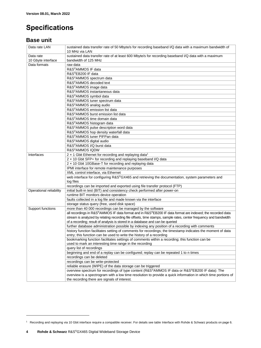# <span id="page-3-0"></span>**Specifications**

## <span id="page-3-1"></span>**Base unit**

| Data rate LAN           | sustained data transfer rate of 50 Mbyte/s for recording baseband I/Q data with a maximum bandwidth of<br>10 MHz via LAN |
|-------------------------|--------------------------------------------------------------------------------------------------------------------------|
| Data rate               | sustained data transfer rate of at least 600 Mbyte/s for recording baseband I/Q data with a maximum                      |
| 10 Gbyte interface      | bandwidth of 125 MHz                                                                                                     |
| Data formats            | raw data                                                                                                                 |
|                         | R&S®AMMOS IF data                                                                                                        |
|                         | R&S®EB200 IF data                                                                                                        |
|                         | R&S®AMMOS spectrum data                                                                                                  |
|                         | R&S®AMMOS decoded text                                                                                                   |
|                         | R&S®AMMOS image data                                                                                                     |
|                         | R&S <sup>®</sup> AMMOS instantaneous data                                                                                |
|                         | R&S®AMMOS symbol data                                                                                                    |
|                         |                                                                                                                          |
|                         | R&S®AMMOS tuner spectrum data                                                                                            |
|                         | R&S®AMMOS analog audio<br>R&S®AMMOS emission list data                                                                   |
|                         |                                                                                                                          |
|                         | R&S®AMMOS burst emission list data                                                                                       |
|                         | R&S <sup>®</sup> AMMOS time domain data                                                                                  |
|                         | R&S®AMMOS histogram data                                                                                                 |
|                         | R&S®AMMOS pulse description word data                                                                                    |
|                         | R&S®AMMOS hop density waterfall data                                                                                     |
|                         | R&S®AMMOS tuner PIFPan data                                                                                              |
|                         | R&S®AMMOS digital audio                                                                                                  |
|                         | R&S®AMMOS I/Q burst data                                                                                                 |
|                         | R&S®AMMOS IQDW                                                                                                           |
| Interfaces              | $2 \times 1$ Gbit Ethernet for recording and replaying data <sup>1</sup>                                                 |
|                         | 2 x 10 Gbit SFP+ for recording and replaying baseband I/Q data                                                           |
|                         | 2 x 10 Gbit 10GBase-T for recording and replaying data                                                                   |
|                         | IPMI interface for remote maintenance purposes                                                                           |
|                         | XML control interface, via Ethernet                                                                                      |
|                         | web interface for configuring R&S®GX465 and retrieving the documentation, system parameters and                          |
|                         | log files                                                                                                                |
|                         | recordings can be imported and exported using file transfer protocol (FTP)                                               |
| Operational reliability | initial built-in test (BIT) and consistency check performed after power-on                                               |
|                         | runtime BIT monitors device operation                                                                                    |
|                         | faults collected in a log file and made known via the interface                                                          |
|                         | storage status query (free, used disk space)                                                                             |
| Support functions       | more than 40 000 recordings can be managed by the software                                                               |
|                         | all recordings in R&S®AMMOS IF data format and in R&S®EB200 IF data format are indexed; the recorded data                |
|                         | stream is analyzed by relating recording file offsets, time stamps, sample rates, center frequency and bandwidth         |
|                         | of a recording; result of analysis is stored in a database and can be queried                                            |
|                         | further database administration possible by indexing any position of a recording with comments                           |
|                         | history function facilitates setting of comments for recordings; the timestamp indicates the moment of data              |
|                         | entry; this function can be used to write the history of a recording                                                     |
|                         | bookmarking function facilitates settings of comments within a recording; this function can be                           |
|                         | used to mark an interesting time range in the recording                                                                  |
|                         | query list of recordings                                                                                                 |
|                         | beginning and end of a replay can be configured; replay can be repeated 1 to n times                                     |
|                         | recordings can be deleted                                                                                                |
|                         | recordings can be write-protected                                                                                        |
|                         | reliable erasure (WIPE) of the data storage can be triggered                                                             |
|                         | overview spectrum for recordings of type content (R&S®AMMOS IF data or R&S®EB200 IF data): The                           |
|                         | overview is a spectrogram with a low time resolution to provide a quick information in which time portions of            |
|                         | the recording there are signals of interest.                                                                             |

 $\overline{a}$ 

<sup>1</sup> Recording and replaying via 10 Gbit interface require a compatible receiver. For details see table Interface with Rohde & Schwarz products on pag[e 6.](#page-4-1)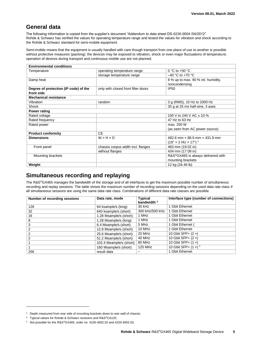## <span id="page-4-0"></span>**General data**

The following information is copied from the supplier's document "Addendum to data sheet DS-0226-0004 /04/2012". Rohde & Schwarz has verified the values for operating temperature range and tested the values for vibration and shock according to the Rohde & Schwarz standard for semi-mobile equipment.

Semi-mobile means that the equipment is usually handled with care though transport from one place of use to another is possible without protective measures (packing); the devices may be exposed to vibration, shock or even major fluctuations of temperature; operation of devices during transport and continuous mobile use are not planned.

| <b>Environmental conditions</b>       |                                     |                                               |  |  |  |  |
|---------------------------------------|-------------------------------------|-----------------------------------------------|--|--|--|--|
| Temperature                           | operating temperature range         | 0 °C to +50 °C                                |  |  |  |  |
|                                       | storage temperature range           | $-40$ °C to +70 °C                            |  |  |  |  |
| Damp heat                             |                                     | 8 % up to max. 90 % rel. humidity,            |  |  |  |  |
|                                       |                                     | noncondensing                                 |  |  |  |  |
| Degree of protection (IP code) of the | only with closed front filter doors | <b>IP50</b>                                   |  |  |  |  |
| front side                            |                                     |                                               |  |  |  |  |
| <b>Mechanical resistance</b>          |                                     |                                               |  |  |  |  |
| Vibration                             | random                              | 3 g (RMS), 10 Hz to 2000 Hz                   |  |  |  |  |
| Shock                                 |                                     | 35 g at 25 ms half-sine, 3 axes               |  |  |  |  |
| <b>Power rating</b>                   |                                     |                                               |  |  |  |  |
| Rated voltage                         |                                     | 100 V to 240 V AC $\pm$ 10 %                  |  |  |  |  |
| Rated frequency                       |                                     | 47 Hz to 63 Hz                                |  |  |  |  |
| Rated power                           |                                     | max. 250 W                                    |  |  |  |  |
|                                       |                                     | (as seen from AC power source)                |  |  |  |  |
| <b>Product conformity</b>             | <b>CE</b>                           |                                               |  |  |  |  |
| <b>Dimensions</b>                     | $W \times H \times D$               | 482.6 mm x 88.9 mm x 431.8 mm                 |  |  |  |  |
|                                       |                                     | $(19" \times 2$ HU $\times$ 17") <sup>2</sup> |  |  |  |  |
| Front panel                           | chassis corpus width incl. flanges  | 483 mm (19.02 in)                             |  |  |  |  |
|                                       | without flanges                     | 434 mm (17.09 in)                             |  |  |  |  |
| Mounting brackets                     |                                     | R&S®GX465 is always delivered with            |  |  |  |  |
|                                       |                                     | mounting brackets                             |  |  |  |  |
| Weight                                |                                     | 12 kg (26.46 lb)                              |  |  |  |  |

## <span id="page-4-1"></span>**Simultaneous recording and replaying**

The R&S®GX465 manages the bandwidth of the storage and of all interfaces to get the maximum possible number of simultaneous recording and replay sessions. The table shows the maximum number of recording sessions depending on the used data rate class if all simultaneous sessions are using the same data rate class. Combinations of different data rate classes are possible.

| Number of recording sessions | Data rate, mode         | <b>Typical</b><br>bandwidth $3$ | Interface type (number of connections) |
|------------------------------|-------------------------|---------------------------------|----------------------------------------|
| 128                          | 64 ksample/s (long)     | 30 kHz                          | 1 Gbit Ethernet                        |
| 32                           | 640 ksample/s (short)   | 300 kHz/500 kHz                 | 1 Gbit Ethernet                        |
| 16                           | 1.28 Msample/s (short)  | 1 MHz                           | 1 Gbit Ethernet                        |
| 8                            | 1.28 Msample/s (long)   | 1 MHz                           | 1 Gbit Ethernet                        |
| 3                            | 6.4 Msample/s (short)   | 5 MHz                           | 1 Gbit Ethernet (                      |
| 2                            | 12.8 Msample/s (short)  | 10 MHz                          | 1 Gbit Ethernet                        |
| 2                            | 25.6 Msample/s (short)  | 20 MHz                          | 10 Gbit SFP+ $(2 x)$                   |
| 2                            | 51.2 Msample/s (short)  | 40 MHz                          | 10 Gbit SFP+ $(2 x)$                   |
|                              | 102.4 Msample/s (short) | 80 MHz                          | 10 Gbit SFP+ $(1 x)$                   |
|                              | 160 Msample/s (short)   | 125 MHz                         | 10 Gbit SFP+ $(1 x)^4$                 |
| 256                          | result data             | –                               | 1 Gbit Ethernet                        |

l

<sup>&</sup>lt;sup>2</sup> Depth measured from rear side of mounting brackets down to rear wall of chassis.

<sup>&</sup>lt;sup>3</sup> Typical values for Rohde & Schwarz receivers and R&S®CA120.

Not possible for the R&S®GX465, order no. 4100.4002.02 and 4100.4002.03.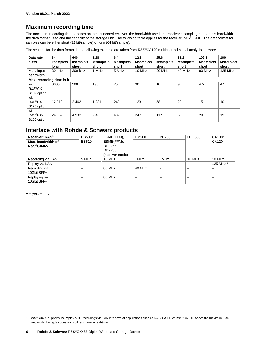## <span id="page-5-0"></span>**Maximum recording time**

The maximum recording time depends on the connected receiver, the bandwidth used, the receiver's sampling rate for this bandwidth, the data format used and the capacity of the storage unit. The following table applies for the receiver R&S®ESMD. The data format for samples can be either short (32 bit/sample) or long (64 bit/sample).

The settings for the data format in the following example are taken from R&S®CA120 multichannel signal analysis software.

| Data rate<br>class                                      | 64<br>ksample/s<br>long | 640<br>ksample/s<br>short | 1.28<br>Msample/s<br>short | 6.4<br>Msample/s<br>short | 12.8<br>Msample/s<br>short | 25.6<br>Msample/s<br>short | 51.2<br>Msample/s<br>short | 102.4<br>Msample/s<br>short | 160<br>Msample/s<br>short |
|---------------------------------------------------------|-------------------------|---------------------------|----------------------------|---------------------------|----------------------------|----------------------------|----------------------------|-----------------------------|---------------------------|
| Max. input<br>bandwidth                                 | 30 kHz                  | 300 kHz                   | 1 MHz                      | 5 MHz                     | 10 MHz                     | 20 MHz                     | 40 MHz                     | 80 MHz                      | 125 MHz                   |
| Max. recording time in h                                |                         |                           |                            |                           |                            |                            |                            |                             |                           |
| with<br>R&S®GX-<br>S107 option                          | 3800                    | 380                       | 190                        | 75                        | 38                         | 18                         | 9                          | 4.5                         | 4.5                       |
| with<br>R&S®GX-<br>S125 option                          | 12.312                  | 2.462                     | 1.231                      | 243                       | 123                        | 58                         | 29                         | 15                          | 10                        |
| with<br>R&S <sup>®</sup> GX-<br>S <sub>150</sub> option | 24.662                  | 4.932                     | 2.466                      | 487                       | 247                        | 117                        | 58                         | 29                          | 19                        |

## <span id="page-5-1"></span>**Interface with Rohde & Schwarz products**

| Receiver: R&S®<br>Max. bandwidth of<br><b>R&amp;S®GX465</b> | EB500/<br>EB510 | ESMD(FFM),<br>ESME(FFM),<br>DDF255. | EM200  | <b>PR200</b> | <b>DDF550</b> | CA100/<br>CA120 |
|-------------------------------------------------------------|-----------------|-------------------------------------|--------|--------------|---------------|-----------------|
|                                                             |                 | <b>DDF260</b><br>(receiver mode)    |        |              |               |                 |
| Recording via LAN                                           | 5 MHz           | 10 MHz                              | 1MHz   | 1MHz         | 10 MHz        | 10 MHz          |
| Replay via LAN                                              |                 |                                     |        |              |               | 125 MHz $5$     |
| Recording via                                               |                 | 80 MHz                              | 40 MHz |              |               |                 |
| 10Gbit SFP+                                                 |                 |                                     |        |              |               |                 |
| Replaying via                                               |                 | 80 MHz                              | —      |              |               |                 |
| 10Gbit SFP+                                                 |                 |                                     |        |              |               |                 |

 $\bullet$  = yes,  $-$  = no

l

<sup>&</sup>lt;sup>5</sup> R&S<sup>®</sup>GX465 supports the replay of IQ recordings via LAN into several applications such as R&S<sup>®</sup>CA100 or R&S<sup>®</sup>CA120. Above the maximum LAN bandwidth, the replay does not work anymore in real-time.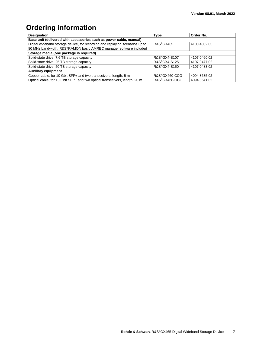# <span id="page-6-0"></span>**Ordering information**

| <b>Designation</b>                                                           | <b>Type</b>            | Order No.    |  |  |  |  |  |
|------------------------------------------------------------------------------|------------------------|--------------|--|--|--|--|--|
| Base unit (delivered with accessories such as power cable, manual)           |                        |              |  |  |  |  |  |
| Digital wideband storage device, for recording and replaying scenarios up to | R&S <sup>®</sup> GX465 | 4100.4002.05 |  |  |  |  |  |
| 80 MHz bandwidth; R&S®RAMON basic AMREC manager software included            |                        |              |  |  |  |  |  |
| Storage media (one package is required)                                      |                        |              |  |  |  |  |  |
| Solid-state drive, 7.6 TB storage capacity                                   | R&S®GX4-S107           | 4107.0460.02 |  |  |  |  |  |
| Solid-state drive, 25 TB storage capacity                                    | R&S®GX4-S125           | 4107.0477.02 |  |  |  |  |  |
| Solid-state drive, 50 TB storage capacity                                    | R&S®GX4-S150           | 4107.0483.02 |  |  |  |  |  |
| <b>Auxiliary equipment</b>                                                   |                        |              |  |  |  |  |  |
| Copper cable, for 10 Gbit SFP+ and two transceivers, length: 5 m             | R&S®GX460-CCG          | 4094.8635.02 |  |  |  |  |  |
| Optical cable, for 10 Gbit SFP+ and two optical transceivers, length: 20 m   | R&S®GX460-OCG          | 4094.8641.02 |  |  |  |  |  |